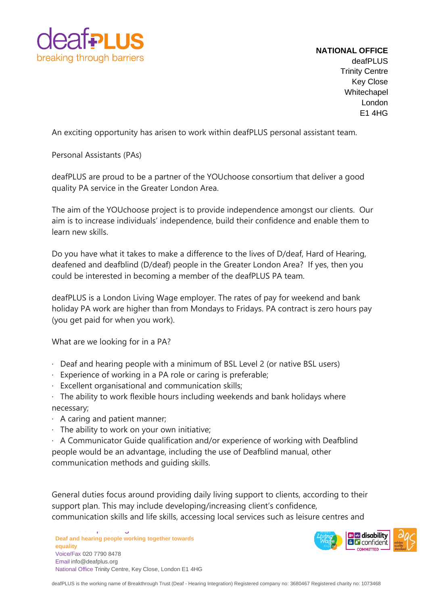

## **NATIONAL OFFICE** deafPLUS Trinity Centre Key Close **Whitechapel** London E1 4HG

An exciting opportunity has arisen to work within deafPLUS personal assistant team.

Personal Assistants (PAs)

deafPLUS are proud to be a partner of the YOUchoose consortium that deliver a good quality PA service in the Greater London Area.

The aim of the YOUchoose project is to provide independence amongst our clients. Our aim is to increase individuals' independence, build their confidence and enable them to learn new skills.

Do you have what it takes to make a difference to the lives of D/deaf, Hard of Hearing, deafened and deafblind (D/deaf) people in the Greater London Area? If yes, then you could be interested in becoming a member of the deafPLUS PA team.

deafPLUS is a London Living Wage employer. The rates of pay for weekend and bank holiday PA work are higher than from Mondays to Fridays. PA contract is zero hours pay (you get paid for when you work).

What are we looking for in a PA?

- · Deaf and hearing people with a minimum of BSL Level 2 (or native BSL users)
- · Experience of working in a PA role or caring is preferable;
- · Excellent organisational and communication skills;

· The ability to work flexible hours including weekends and bank holidays where necessary;

- · A caring and patient manner;
- · The ability to work on your own initiative;

· A Communicator Guide qualification and/or experience of working with Deafblind people would be an advantage, including the use of Deafblind manual, other communication methods and guiding skills.

General duties focus around providing daily living support to clients, according to their support plan. This may include developing/increasing client's confidence, communication skills and life skills, accessing local services such as leisure centres and

**Deaf and hearing people working together towards equality** Voice/Fax 020 7790 8478 Email [info@deafplus.org](mailto:info@deafplus.org) National Office Trinity Centre, Key Close, London E1 4HG

ww.deafplus.org